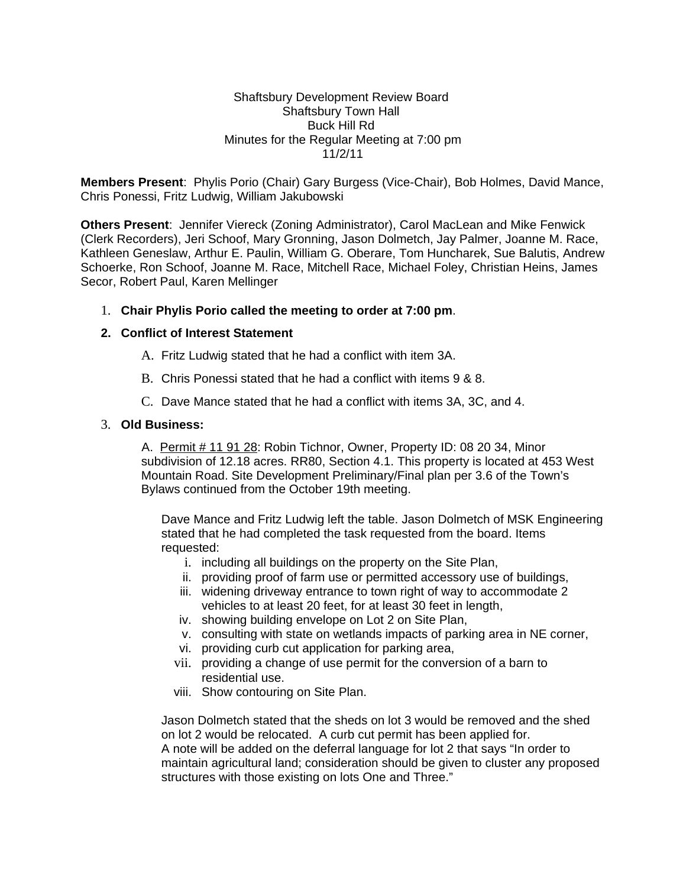## Shaftsbury Development Review Board Shaftsbury Town Hall Buck Hill Rd Minutes for the Regular Meeting at 7:00 pm 11/2/11

**Members Present**: Phylis Porio (Chair) Gary Burgess (Vice-Chair), Bob Holmes, David Mance, Chris Ponessi, Fritz Ludwig, William Jakubowski

**Others Present**: Jennifer Viereck (Zoning Administrator), Carol MacLean and Mike Fenwick (Clerk Recorders), Jeri Schoof, Mary Gronning, Jason Dolmetch, Jay Palmer, Joanne M. Race, Kathleen Geneslaw, Arthur E. Paulin, William G. Oberare, Tom Huncharek, Sue Balutis, Andrew Schoerke, Ron Schoof, Joanne M. Race, Mitchell Race, Michael Foley, Christian Heins, James Secor, Robert Paul, Karen Mellinger

## 1. **Chair Phylis Porio called the meeting to order at 7:00 pm**.

## **2. Conflict of Interest Statement**

- A. Fritz Ludwig stated that he had a conflict with item 3A.
- B. Chris Ponessi stated that he had a conflict with items 9 & 8.
- C. Dave Mance stated that he had a conflict with items 3A, 3C, and 4.

# 3. **Old Business:**

 A. Permit # 11 91 28: Robin Tichnor, Owner, Property ID: 08 20 34, Minor subdivision of 12.18 acres. RR80, Section 4.1. This property is located at 453 West Mountain Road. Site Development Preliminary/Final plan per 3.6 of the Town's Bylaws continued from the October 19th meeting.

Dave Mance and Fritz Ludwig left the table. Jason Dolmetch of MSK Engineering stated that he had completed the task requested from the board. Items requested:

- i. including all buildings on the property on the Site Plan,
- ii. providing proof of farm use or permitted accessory use of buildings,
- iii. widening driveway entrance to town right of way to accommodate 2 vehicles to at least 20 feet, for at least 30 feet in length,
- iv. showing building envelope on Lot 2 on Site Plan,
- v. consulting with state on wetlands impacts of parking area in NE corner,
- vi. providing curb cut application for parking area,
- vii. providing a change of use permit for the conversion of a barn to residential use.
- viii. Show contouring on Site Plan.

Jason Dolmetch stated that the sheds on lot 3 would be removed and the shed on lot 2 would be relocated. A curb cut permit has been applied for. A note will be added on the deferral language for lot 2 that says "In order to maintain agricultural land; consideration should be given to cluster any proposed structures with those existing on lots One and Three."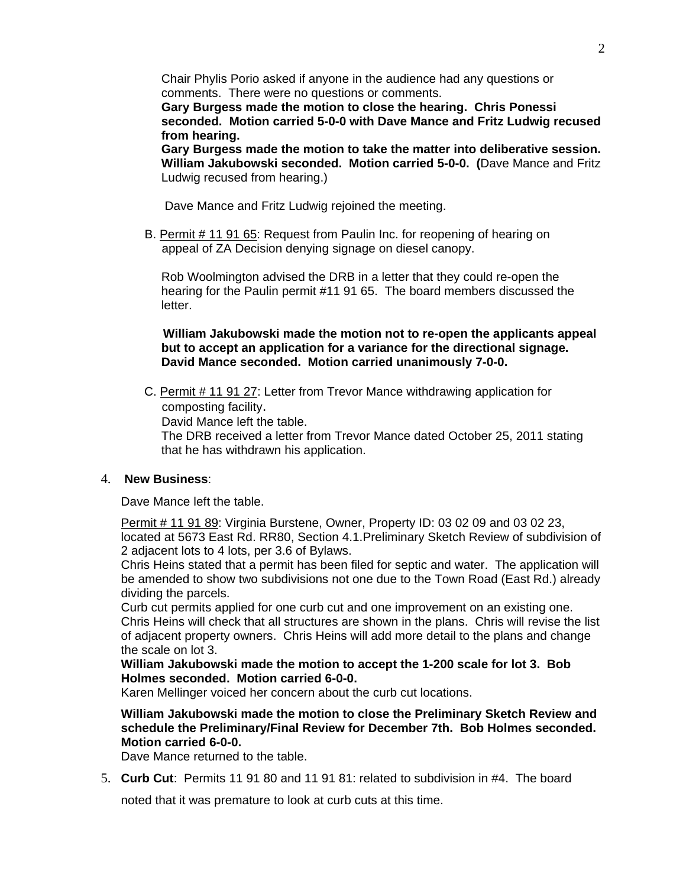Chair Phylis Porio asked if anyone in the audience had any questions or comments. There were no questions or comments.

**Gary Burgess made the motion to close the hearing. Chris Ponessi seconded. Motion carried 5-0-0 with Dave Mance and Fritz Ludwig recused from hearing.**

**Gary Burgess made the motion to take the matter into deliberative session. William Jakubowski seconded. Motion carried 5-0-0. (**Dave Mance and Fritz Ludwig recused from hearing.)

Dave Mance and Fritz Ludwig rejoined the meeting.

 B. Permit # 11 91 65: Request from Paulin Inc. for reopening of hearing on appeal of ZA Decision denying signage on diesel canopy.

Rob Woolmington advised the DRB in a letter that they could re-open the hearing for the Paulin permit #11 91 65. The board members discussed the letter.

 **William Jakubowski made the motion not to re-open the applicants appeal but to accept an application for a variance for the directional signage. David Mance seconded. Motion carried unanimously 7-0-0.**

 C. Permit # 11 91 27: Letter from Trevor Mance withdrawing application for composting facility.

David Mance left the table.

The DRB received a letter from Trevor Mance dated October 25, 2011 stating that he has withdrawn his application.

## 4. **New Business**:

Dave Mance left the table.

Permit # 11 91 89: Virginia Burstene, Owner, Property ID: 03 02 09 and 03 02 23, located at 5673 East Rd. RR80, Section 4.1.Preliminary Sketch Review of subdivision of 2 adjacent lots to 4 lots, per 3.6 of Bylaws.

Chris Heins stated that a permit has been filed for septic and water. The application will be amended to show two subdivisions not one due to the Town Road (East Rd.) already dividing the parcels.

Curb cut permits applied for one curb cut and one improvement on an existing one. Chris Heins will check that all structures are shown in the plans. Chris will revise the list of adjacent property owners. Chris Heins will add more detail to the plans and change the scale on lot 3.

**William Jakubowski made the motion to accept the 1-200 scale for lot 3. Bob Holmes seconded. Motion carried 6-0-0.**

Karen Mellinger voiced her concern about the curb cut locations.

**William Jakubowski made the motion to close the Preliminary Sketch Review and schedule the Preliminary/Final Review for December 7th. Bob Holmes seconded. Motion carried 6-0-0.**

Dave Mance returned to the table.

5. **Curb Cut**: Permits 11 91 80 and 11 91 81: related to subdivision in #4. The board

noted that it was premature to look at curb cuts at this time.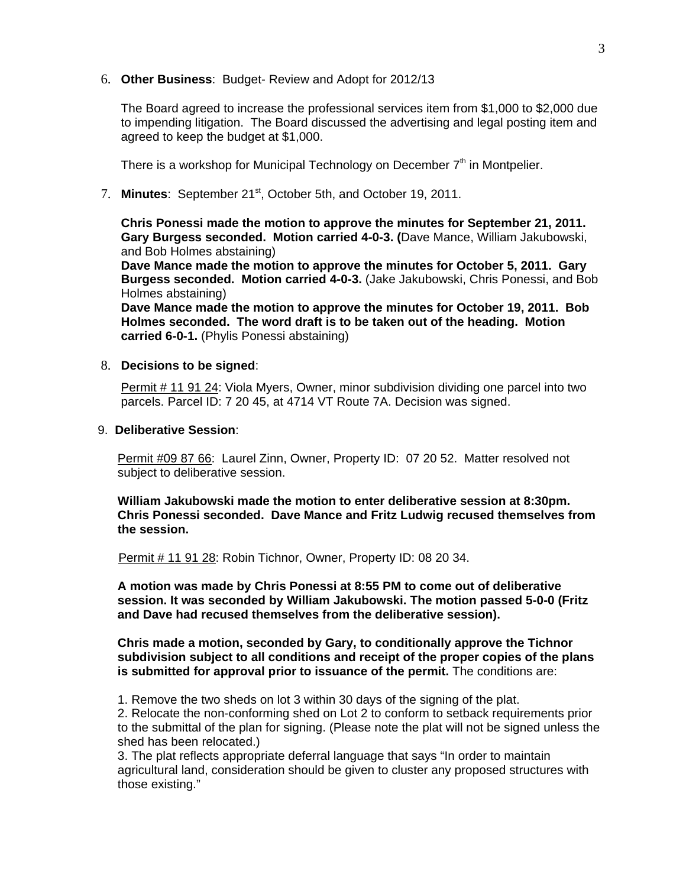6. **Other Business**: Budget- Review and Adopt for 2012/13

The Board agreed to increase the professional services item from \$1,000 to \$2,000 due to impending litigation. The Board discussed the advertising and legal posting item and agreed to keep the budget at \$1,000.

There is a workshop for Municipal Technology on December  $7<sup>th</sup>$  in Montpelier.

7. **Minutes**: September 21st, October 5th, and October 19, 2011.

**Chris Ponessi made the motion to approve the minutes for September 21, 2011. Gary Burgess seconded. Motion carried 4-0-3. (**Dave Mance, William Jakubowski, and Bob Holmes abstaining)

**Dave Mance made the motion to approve the minutes for October 5, 2011. Gary Burgess seconded. Motion carried 4-0-3.** (Jake Jakubowski, Chris Ponessi, and Bob Holmes abstaining)

**Dave Mance made the motion to approve the minutes for October 19, 2011. Bob Holmes seconded. The word draft is to be taken out of the heading. Motion carried 6-0-1.** (Phylis Ponessi abstaining)

#### 8. **Decisions to be signed**:

Permit # 11 91 24: Viola Myers, Owner, minor subdivision dividing one parcel into two parcels. Parcel ID: 7 20 45, at 4714 VT Route 7A. Decision was signed.

#### 9. **Deliberative Session**:

Permit #09 87 66: Laurel Zinn, Owner, Property ID: 07 20 52. Matter resolved not subject to deliberative session.

**William Jakubowski made the motion to enter deliberative session at 8:30pm. Chris Ponessi seconded. Dave Mance and Fritz Ludwig recused themselves from the session.**

Permit # 11 91 28: Robin Tichnor, Owner, Property ID: 08 20 34.

**A motion was made by Chris Ponessi at 8:55 PM to come out of deliberative session. It was seconded by William Jakubowski. The motion passed 5-0-0 (Fritz and Dave had recused themselves from the deliberative session).**

**Chris made a motion, seconded by Gary, to conditionally approve the Tichnor subdivision subject to all conditions and receipt of the proper copies of the plans is submitted for approval prior to issuance of the permit.** The conditions are:

1. Remove the two sheds on lot 3 within 30 days of the signing of the plat.

2. Relocate the non-conforming shed on Lot 2 to conform to setback requirements prior to the submittal of the plan for signing. (Please note the plat will not be signed unless the shed has been relocated.)

3. The plat reflects appropriate deferral language that says "In order to maintain agricultural land, consideration should be given to cluster any proposed structures with those existing."